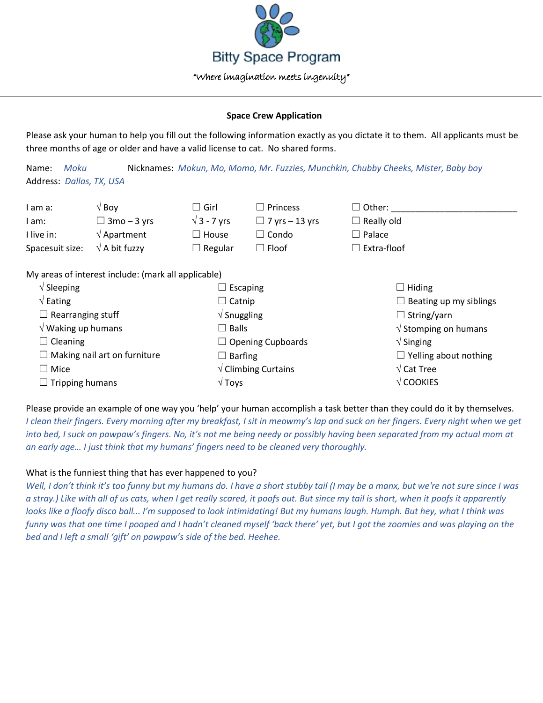

## **Space Crew Application**

Please ask your human to help you fill out the following information exactly as you dictate it to them. All applicants must be three months of age or older and have a valid license to cat. No shared forms.

Name: *Moku* Nicknames: *Mokun, Mo, Momo, Mr. Fuzzies, Munchkin, Chubby Cheeks, Mister, Baby boy* Address: *Dallas, TX, USA*

| am a:                                               | $\sqrt{}$ Boy               | l Girl<br>$\vert \ \ \vert$    | $\Box$ Princess       | $\Box$ Other:                 |  |  |  |
|-----------------------------------------------------|-----------------------------|--------------------------------|-----------------------|-------------------------------|--|--|--|
| am:                                                 | $\Box$ 3mo – 3 yrs          | $\sqrt{3}$ - 7 yrs             | $\Box$ 7 yrs – 13 yrs | $\Box$ Really old             |  |  |  |
| I live in:                                          | $\sqrt{\mathsf{Apartment}}$ | $\Box$ House                   | $\Box$ Condo          | $\Box$ Palace                 |  |  |  |
| Spacesuit size:                                     | $\sqrt{ }$ A bit fuzzy      | $\Box$ Regular                 | $\Box$ Floof          | $\Box$ Extra-floof            |  |  |  |
| My areas of interest include: (mark all applicable) |                             |                                |                       |                               |  |  |  |
| $\sqrt{\frac{1}{2}}$ Sleeping                       |                             | $\Box$ Escaping                |                       | $\Box$ Hiding                 |  |  |  |
| $\sqrt{\mathsf{Eating}}$                            |                             | $\Box$ Catnip                  |                       | $\Box$ Beating up my siblings |  |  |  |
| $\Box$ Rearranging stuff                            |                             | $\sqrt{\frac{1}{2}}$ Snuggling |                       | $\Box$ String/yarn            |  |  |  |

| $\sqrt{}$ Waking up humans          | $\exists$ Balls                        | $\sqrt{\frac{1}{100}}$ Stomping on humans |
|-------------------------------------|----------------------------------------|-------------------------------------------|
| $\Box$ Cleaning                     | $\Box$ Opening Cupboards               | $\sqrt{\frac{1}{1}}$ Singing              |
| $\Box$ Making nail art on furniture | $\Box$ Barfing                         | $\Box$ Yelling about nothing              |
| $\Box$ Mice                         | $\sqrt{\frac{1}{1}}$ Climbing Curtains | $\sqrt{\text{Cat} \text{Tree}}$           |
| $\Box$ Tripping humans              | $\sqrt{\mathsf{Tov}}$ s                | $\sqrt{\text{COOKIES}}$                   |
|                                     |                                        |                                           |

Please provide an example of one way you 'help' your human accomplish a task better than they could do it by themselves. *I clean their fingers. Every morning after my breakfast, I sit in meowmy's lap and suck on her fingers. Every night when we get into bed, I suck on pawpaw's fingers. No, it's not me being needy or possibly having been separated from my actual mom at an early age… I just think that my humans' fingers need to be cleaned very thoroughly.*

# What is the funniest thing that has ever happened to you?

*Well, I don't think it's too funny but my humans do. I have a short stubby tail (I may be a manx, but we're not sure since I was a stray.) Like with all of us cats, when I get really scared, it poofs out. But since my tail is short, when it poofs it apparently looks like a floofy disco ball... I'm supposed to look intimidating! But my humans laugh. Humph. But hey, what I think was funny was that one time I pooped and I hadn't cleaned myself 'back there' yet, but I got the zoomies and was playing on the bed and I left a small 'gift' on pawpaw's side of the bed. Heehee.*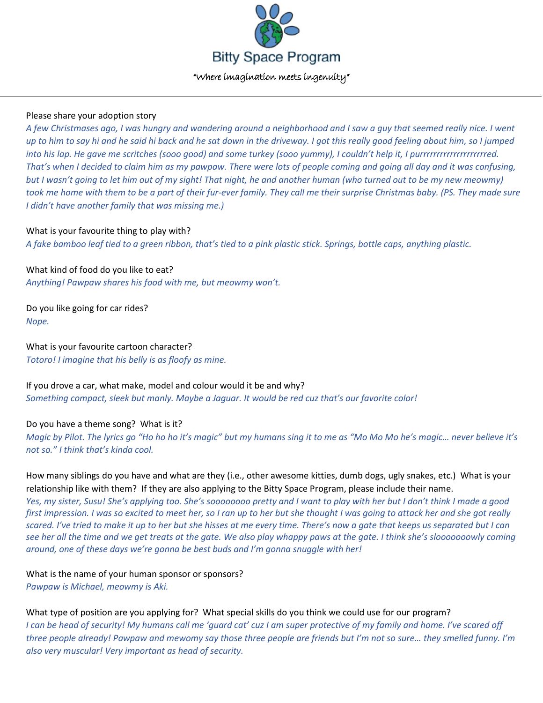

### Please share your adoption story

*A few Christmases ago, I was hungry and wandering around a neighborhood and I saw a guy that seemed really nice. I went up to him to say hi and he said hi back and he sat down in the driveway. I got this really good feeling about him, so I jumped into his lap. He gave me scritches (sooo good) and some turkey (sooo yummy), I couldn't help it, I purrrrrrrrrrrrrrrrrrrred. That's when I decided to claim him as my pawpaw. There were lots of people coming and going all day and it was confusing, but I wasn't going to let him out of my sight! That night, he and another human (who turned out to be my new meowmy) took me home with them to be a part of their fur-ever family. They call me their surprise Christmas baby. (PS. They made sure I didn't have another family that was missing me.)*

# What is your favourite thing to play with?

*A fake bamboo leaf tied to a green ribbon, that's tied to a pink plastic stick. Springs, bottle caps, anything plastic.*

What kind of food do you like to eat? *Anything! Pawpaw shares his food with me, but meowmy won't.*

Do you like going for car rides? *Nope.*

What is your favourite cartoon character? *Totoro! I imagine that his belly is as floofy as mine.*

If you drove a car, what make, model and colour would it be and why? *Something compact, sleek but manly. Maybe a Jaguar. It would be red cuz that's our favorite color!*

### Do you have a theme song? What is it?

*Magic by Pilot. The lyrics go "Ho ho ho it's magic" but my humans sing it to me as "Mo Mo Mo he's magic… never believe it's not so." I think that's kinda cool.*

How many siblings do you have and what are they (i.e., other awesome kitties, dumb dogs, ugly snakes, etc.) What is your relationship like with them? If they are also applying to the Bitty Space Program, please include their name.

*Yes, my sister, Susu! She's applying too. She's soooooooo pretty and I want to play with her but I don't think I made a good first impression. I was so excited to meet her, so I ran up to her but she thought I was going to attack her and she got really scared. I've tried to make it up to her but she hisses at me every time. There's now a gate that keeps us separated but I can see her all the time and we get treats at the gate. We also play whappy paws at the gate. I think she's slooooooowly coming around, one of these days we're gonna be best buds and I'm gonna snuggle with her!*

What is the name of your human sponsor or sponsors? *Pawpaw is Michael, meowmy is Aki.*

What type of position are you applying for? What special skills do you think we could use for our program? *I can be head of security! My humans call me 'guard cat' cuz I am super protective of my family and home. I've scared off three people already! Pawpaw and mewomy say those three people are friends but I'm not so sure… they smelled funny. I'm also very muscular! Very important as head of security.*